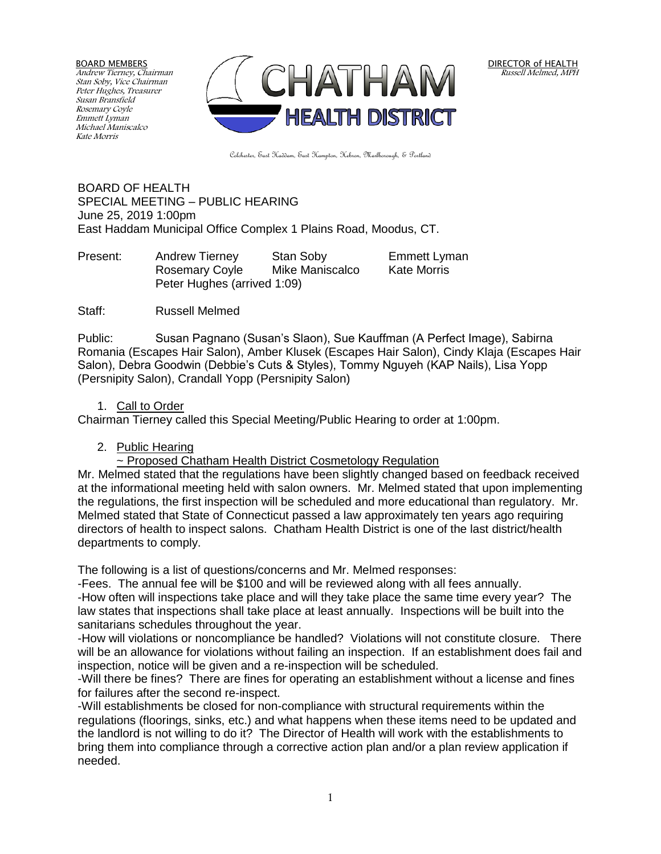BOARD MEMBERS Andrew Tierney, Chairman Stan Soby, Vice Chairman Peter Hughes, Treasurer Susan Bransfield Rosemary Coyle Emmett Lyman Michael Maniscalco Kate Morris



Colchester, East Haddam, East Hampton, Hebron, Marlborough, & Portland

BOARD OF HEALTH SPECIAL MEETING – PUBLIC HEARING June 25, 2019 1:00pm East Haddam Municipal Office Complex 1 Plains Road, Moodus, CT.

Present: Andrew Tierney Stan Soby Emmett Lyman Rosemary Coyle Mike Maniscalco Kate Morris Peter Hughes (arrived 1:09)

Staff: Russell Melmed

Public: Susan Pagnano (Susan's Slaon), Sue Kauffman (A Perfect Image), Sabirna Romania (Escapes Hair Salon), Amber Klusek (Escapes Hair Salon), Cindy Klaja (Escapes Hair Salon), Debra Goodwin (Debbie's Cuts & Styles), Tommy Nguyeh (KAP Nails), Lisa Yopp (Persnipity Salon), Crandall Yopp (Persnipity Salon)

## 1. Call to Order

Chairman Tierney called this Special Meeting/Public Hearing to order at 1:00pm.

## 2. Public Hearing

~ Proposed Chatham Health District Cosmetology Regulation

Mr. Melmed stated that the regulations have been slightly changed based on feedback received at the informational meeting held with salon owners. Mr. Melmed stated that upon implementing the regulations, the first inspection will be scheduled and more educational than regulatory. Mr. Melmed stated that State of Connecticut passed a law approximately ten years ago requiring directors of health to inspect salons. Chatham Health District is one of the last district/health departments to comply.

The following is a list of questions/concerns and Mr. Melmed responses:

-Fees. The annual fee will be \$100 and will be reviewed along with all fees annually. -How often will inspections take place and will they take place the same time every year? The law states that inspections shall take place at least annually. Inspections will be built into the sanitarians schedules throughout the year.

-How will violations or noncompliance be handled? Violations will not constitute closure. There will be an allowance for violations without failing an inspection. If an establishment does fail and inspection, notice will be given and a re-inspection will be scheduled.

-Will there be fines? There are fines for operating an establishment without a license and fines for failures after the second re-inspect.

-Will establishments be closed for non-compliance with structural requirements within the regulations (floorings, sinks, etc.) and what happens when these items need to be updated and the landlord is not willing to do it? The Director of Health will work with the establishments to bring them into compliance through a corrective action plan and/or a plan review application if needed.